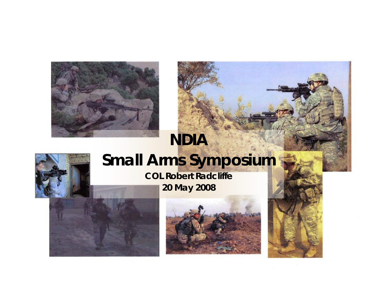

### *NDIA*



# *Small Arms Symposium*

### *COL Robert Radcliffe*

*20 May 2008*





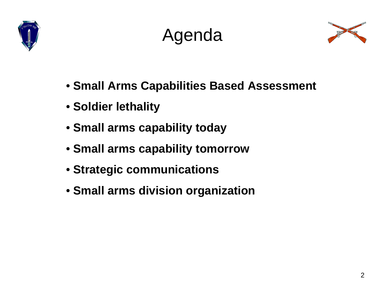





- **Small Arms Capabilities Based Assessment**
- **Soldier lethality**
- **Small arms capability today**
- **Small arms capability tomorrow**
- **Strategic communications**
- **Small arms division organization**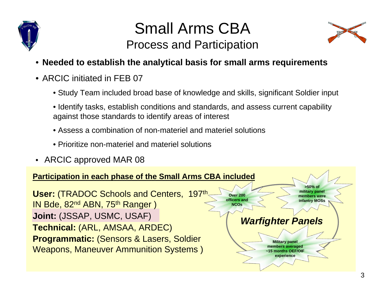

## Small Arms CBAProcess and Participation



- **Needed to establish the analytical basis for small arms requirements**
- ARCIC initiated in FEB 07
	- Study Team included broad base of knowledge and skills, significant Soldier input
	- Identify tasks, establish conditions and standards, and assess current capability against those standards to identify areas of interest
	- Assess a combination of non-materiel and materiel solutions
	- Prioritize non-materiel and materiel solutions
- ARCIC approved MAR 08

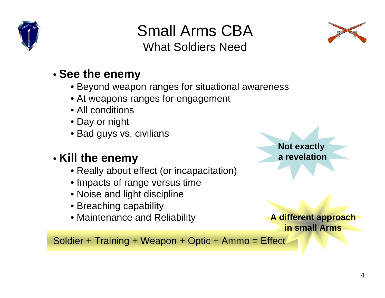

Small Arms CBAWhat Soldiers Need



#### • **See the enemy**

- Beyond weapon ranges for situational awareness
- At weapons ranges for engagement
- All conditions
- Day or night
- Bad guys vs. civilians

### • **Kill the enemy**

- Really about effect (or incapacitation)
- Impacts of range versus time
- Noise and light discipline
- Breaching capability
- Maintenance and Reliability

**Not exactly a revelation**

**A different approach in small Arms**

Soldier + Training + Weapon + Optic + Ammo = Effect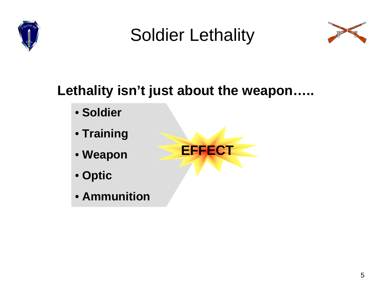

## Soldier Lethality



## **Lethality isn't just about the weapon…..**

- **Soldier**
- **Training**
- **Weapon**
- **Optic**
- **Ammunition**

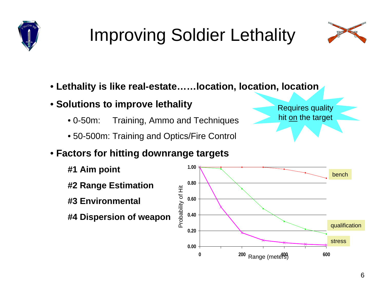# Improving Soldier Lethality



- **Lethality is like real-estate……location, location, location**
- **Solutions to improve lethality**
	- $\cdot$  0-50m: Training, Ammo and Techniques
	- 50-500m: Training and Optics/Fire Control

#### • **Factors for hitting downrange targets**

- **#1 Aim point**
- **#2 Range Estimation**
- **#3 Environmental**
- **#4 Dispersion of weapon**



Requires quality hit <u>on</u> the target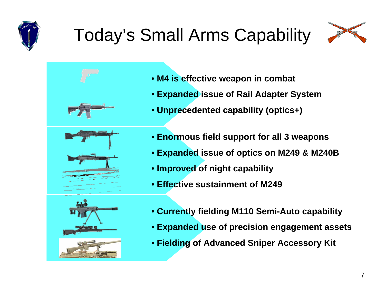# Today's Small Arms Capability







- **Expanded issue of Rail Adapter System**
- **Unprecedented capability (optics+)**
- **Enormous field support for all 3 weapons**
- **Expanded issue of optics on M249 & M240B**
- **Improved of night capability**
- **Effective sustainment of M249**





- **Currently fielding M110 Semi-Auto capability**
- **Expanded use of precision engagement assets**
- **Fielding of Advanced Sniper Accessory Kit**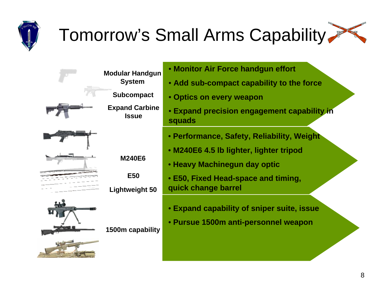## Tomorrow's Small Arms Capability

| <b>Modular Handgun</b>                | • Monito           |
|---------------------------------------|--------------------|
| <b>System</b>                         | · Add su           |
| <b>Subcompact</b>                     | • Optics           |
| <b>Expand Carbine</b><br><b>Issue</b> | • Expand<br>squads |
|                                       | • Perforn          |
|                                       | • M240E6           |
| <b>M240E6</b>                         | • Heavy I          |
| <b>E50</b>                            | • E50, Fix         |
| <b>Lightweight 50</b>                 | quick ch           |
|                                       | • Expand           |
|                                       | • Pursue           |
| 1500m capability                      |                    |
|                                       |                    |

- **K** Air Force handgun effort
- **Add sub-compact capability to the force**
- **On every weapon**
- **Expanding precision engagement capability in**
- **Performance, Safety, Reliability, Weight**
- **M240E6 4.5 lb lighter, lighter tripod**
- **Machinegun day optic**
- **E50, Fixed Head-space and timing,**  ange barrel
	- **Expand capability of sniper suite, issue**
- **1500m anti-personnel weapon**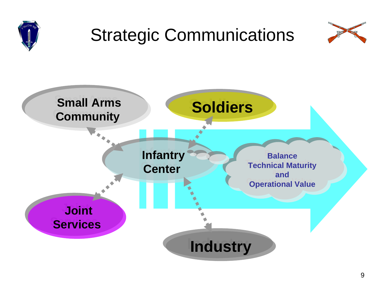

## Strategic Communications



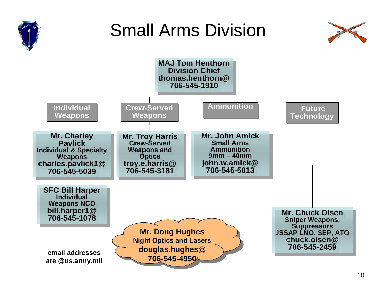

## Small Arms Division